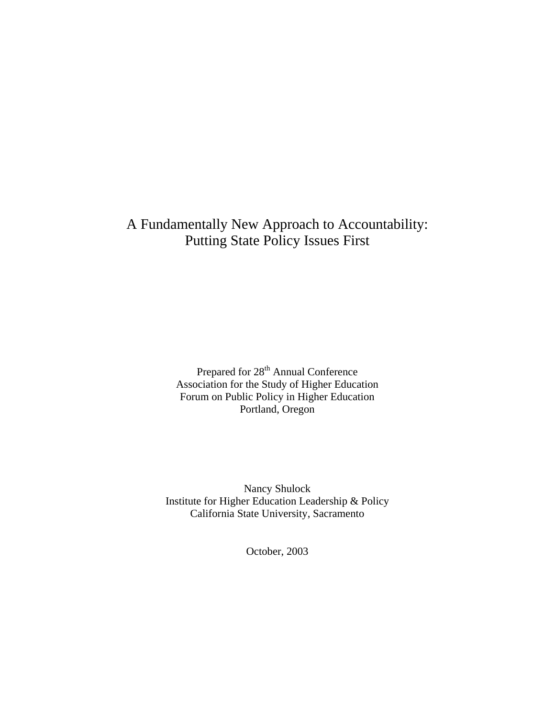# A Fundamentally New Approach to Accountability: Putting State Policy Issues First

Prepared for 28<sup>th</sup> Annual Conference Association for the Study of Higher Education Forum on Public Policy in Higher Education Portland, Oregon

Nancy Shulock Institute for Higher Education Leadership & Policy California State University, Sacramento

October, 2003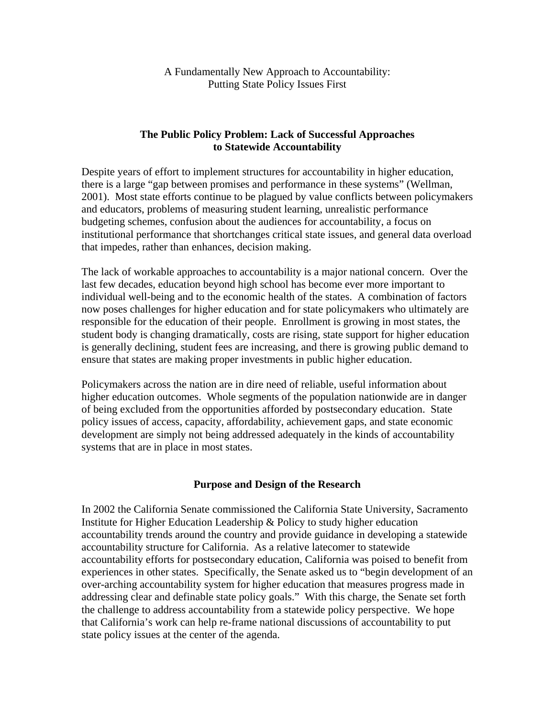A Fundamentally New Approach to Accountability: Putting State Policy Issues First

## **The Public Policy Problem: Lack of Successful Approaches to Statewide Accountability**

Despite years of effort to implement structures for accountability in higher education, there is a large "gap between promises and performance in these systems" (Wellman, 2001). Most state efforts continue to be plagued by value conflicts between policymakers and educators, problems of measuring student learning, unrealistic performance budgeting schemes, confusion about the audiences for accountability, a focus on institutional performance that shortchanges critical state issues, and general data overload that impedes, rather than enhances, decision making.

The lack of workable approaches to accountability is a major national concern. Over the last few decades, education beyond high school has become ever more important to individual well-being and to the economic health of the states. A combination of factors now poses challenges for higher education and for state policymakers who ultimately are responsible for the education of their people. Enrollment is growing in most states, the student body is changing dramatically, costs are rising, state support for higher education is generally declining, student fees are increasing, and there is growing public demand to ensure that states are making proper investments in public higher education.

Policymakers across the nation are in dire need of reliable, useful information about higher education outcomes. Whole segments of the population nationwide are in danger of being excluded from the opportunities afforded by postsecondary education. State policy issues of access, capacity, affordability, achievement gaps, and state economic development are simply not being addressed adequately in the kinds of accountability systems that are in place in most states.

## **Purpose and Design of the Research**

In 2002 the California Senate commissioned the California State University, Sacramento Institute for Higher Education Leadership & Policy to study higher education accountability trends around the country and provide guidance in developing a statewide accountability structure for California. As a relative latecomer to statewide accountability efforts for postsecondary education, California was poised to benefit from experiences in other states. Specifically, the Senate asked us to "begin development of an over-arching accountability system for higher education that measures progress made in addressing clear and definable state policy goals." With this charge, the Senate set forth the challenge to address accountability from a statewide policy perspective. We hope that California's work can help re-frame national discussions of accountability to put state policy issues at the center of the agenda.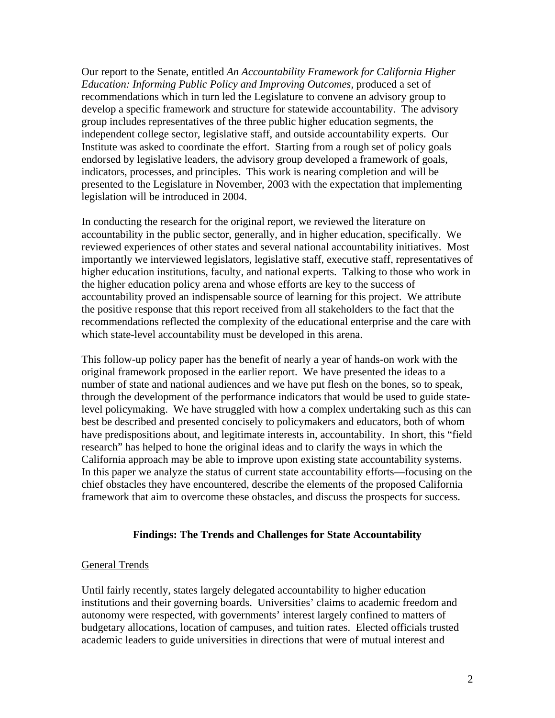Our report to the Senate, entitled *An Accountability Framework for California Higher Education: Informing Public Policy and Improving Outcomes,* produced a set of recommendations which in turn led the Legislature to convene an advisory group to develop a specific framework and structure for statewide accountability. The advisory group includes representatives of the three public higher education segments, the independent college sector, legislative staff, and outside accountability experts. Our Institute was asked to coordinate the effort. Starting from a rough set of policy goals endorsed by legislative leaders, the advisory group developed a framework of goals, indicators, processes, and principles. This work is nearing completion and will be presented to the Legislature in November, 2003 with the expectation that implementing legislation will be introduced in 2004.

In conducting the research for the original report, we reviewed the literature on accountability in the public sector, generally, and in higher education, specifically. We reviewed experiences of other states and several national accountability initiatives. Most importantly we interviewed legislators, legislative staff, executive staff, representatives of higher education institutions, faculty, and national experts. Talking to those who work in the higher education policy arena and whose efforts are key to the success of accountability proved an indispensable source of learning for this project. We attribute the positive response that this report received from all stakeholders to the fact that the recommendations reflected the complexity of the educational enterprise and the care with which state-level accountability must be developed in this arena.

This follow-up policy paper has the benefit of nearly a year of hands-on work with the original framework proposed in the earlier report. We have presented the ideas to a number of state and national audiences and we have put flesh on the bones, so to speak, through the development of the performance indicators that would be used to guide statelevel policymaking. We have struggled with how a complex undertaking such as this can best be described and presented concisely to policymakers and educators, both of whom have predispositions about, and legitimate interests in, accountability. In short, this "field research" has helped to hone the original ideas and to clarify the ways in which the California approach may be able to improve upon existing state accountability systems. In this paper we analyze the status of current state accountability efforts—focusing on the chief obstacles they have encountered, describe the elements of the proposed California framework that aim to overcome these obstacles, and discuss the prospects for success.

## **Findings: The Trends and Challenges for State Accountability**

#### General Trends

Until fairly recently, states largely delegated accountability to higher education institutions and their governing boards. Universities' claims to academic freedom and autonomy were respected, with governments' interest largely confined to matters of budgetary allocations, location of campuses, and tuition rates. Elected officials trusted academic leaders to guide universities in directions that were of mutual interest and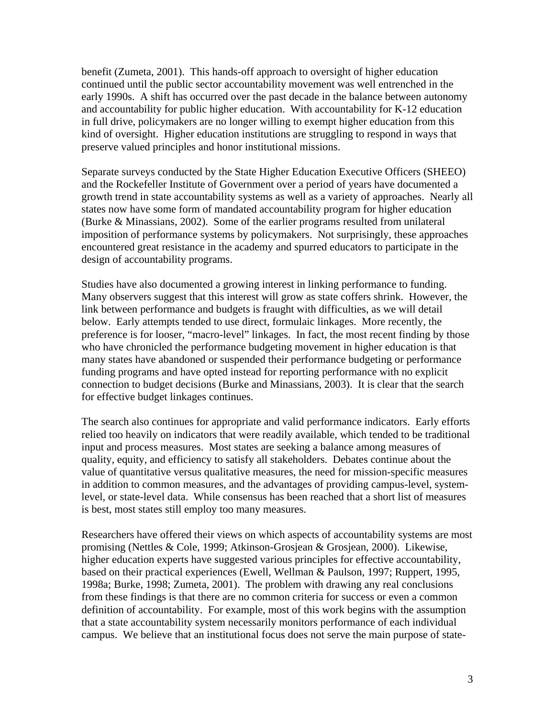benefit (Zumeta, 2001). This hands-off approach to oversight of higher education continued until the public sector accountability movement was well entrenched in the early 1990s. A shift has occurred over the past decade in the balance between autonomy and accountability for public higher education. With accountability for K-12 education in full drive, policymakers are no longer willing to exempt higher education from this kind of oversight. Higher education institutions are struggling to respond in ways that preserve valued principles and honor institutional missions.

Separate surveys conducted by the State Higher Education Executive Officers (SHEEO) and the Rockefeller Institute of Government over a period of years have documented a growth trend in state accountability systems as well as a variety of approaches. Nearly all states now have some form of mandated accountability program for higher education (Burke & Minassians, 2002). Some of the earlier programs resulted from unilateral imposition of performance systems by policymakers. Not surprisingly, these approaches encountered great resistance in the academy and spurred educators to participate in the design of accountability programs.

Studies have also documented a growing interest in linking performance to funding. Many observers suggest that this interest will grow as state coffers shrink. However, the link between performance and budgets is fraught with difficulties, as we will detail below. Early attempts tended to use direct, formulaic linkages. More recently, the preference is for looser, "macro-level" linkages. In fact, the most recent finding by those who have chronicled the performance budgeting movement in higher education is that many states have abandoned or suspended their performance budgeting or performance funding programs and have opted instead for reporting performance with no explicit connection to budget decisions (Burke and Minassians, 2003). It is clear that the search for effective budget linkages continues.

The search also continues for appropriate and valid performance indicators. Early efforts relied too heavily on indicators that were readily available, which tended to be traditional input and process measures. Most states are seeking a balance among measures of quality, equity, and efficiency to satisfy all stakeholders. Debates continue about the value of quantitative versus qualitative measures, the need for mission-specific measures in addition to common measures, and the advantages of providing campus-level, systemlevel, or state-level data. While consensus has been reached that a short list of measures is best, most states still employ too many measures.

Researchers have offered their views on which aspects of accountability systems are most promising (Nettles & Cole, 1999; Atkinson-Grosjean & Grosjean, 2000). Likewise, higher education experts have suggested various principles for effective accountability, based on their practical experiences (Ewell, Wellman & Paulson, 1997; Ruppert, 1995, 1998a; Burke, 1998; Zumeta, 2001). The problem with drawing any real conclusions from these findings is that there are no common criteria for success or even a common definition of accountability. For example, most of this work begins with the assumption that a state accountability system necessarily monitors performance of each individual campus. We believe that an institutional focus does not serve the main purpose of state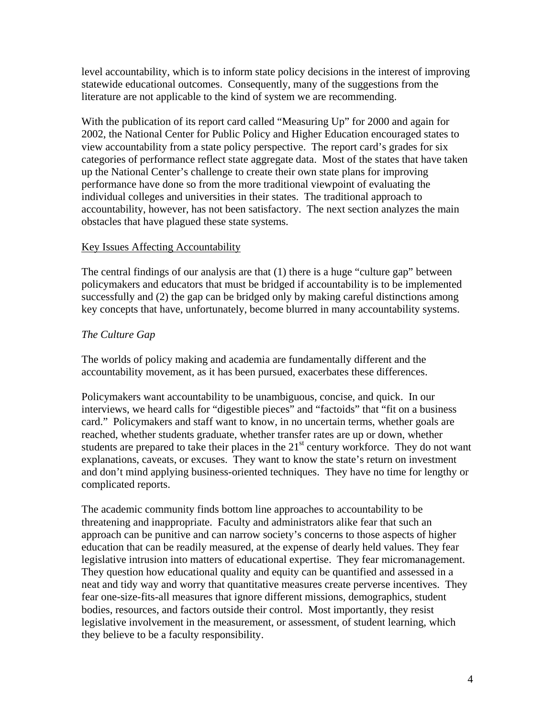level accountability, which is to inform state policy decisions in the interest of improving statewide educational outcomes. Consequently, many of the suggestions from the literature are not applicable to the kind of system we are recommending.

With the publication of its report card called "Measuring Up" for 2000 and again for 2002, the National Center for Public Policy and Higher Education encouraged states to view accountability from a state policy perspective. The report card's grades for six categories of performance reflect state aggregate data. Most of the states that have taken up the National Center's challenge to create their own state plans for improving performance have done so from the more traditional viewpoint of evaluating the individual colleges and universities in their states. The traditional approach to accountability, however, has not been satisfactory. The next section analyzes the main obstacles that have plagued these state systems.

## Key Issues Affecting Accountability

The central findings of our analysis are that (1) there is a huge "culture gap" between policymakers and educators that must be bridged if accountability is to be implemented successfully and (2) the gap can be bridged only by making careful distinctions among key concepts that have, unfortunately, become blurred in many accountability systems.

# *The Culture Gap*

The worlds of policy making and academia are fundamentally different and the accountability movement, as it has been pursued, exacerbates these differences.

Policymakers want accountability to be unambiguous, concise, and quick. In our interviews, we heard calls for "digestible pieces" and "factoids" that "fit on a business card." Policymakers and staff want to know, in no uncertain terms, whether goals are reached, whether students graduate, whether transfer rates are up or down, whether students are prepared to take their places in the 21<sup>st</sup> century workforce. They do not want explanations, caveats, or excuses. They want to know the state's return on investment and don't mind applying business-oriented techniques. They have no time for lengthy or complicated reports.

The academic community finds bottom line approaches to accountability to be threatening and inappropriate. Faculty and administrators alike fear that such an approach can be punitive and can narrow society's concerns to those aspects of higher education that can be readily measured, at the expense of dearly held values. They fear legislative intrusion into matters of educational expertise. They fear micromanagement. They question how educational quality and equity can be quantified and assessed in a neat and tidy way and worry that quantitative measures create perverse incentives. They fear one-size-fits-all measures that ignore different missions, demographics, student bodies, resources, and factors outside their control. Most importantly, they resist legislative involvement in the measurement, or assessment, of student learning, which they believe to be a faculty responsibility.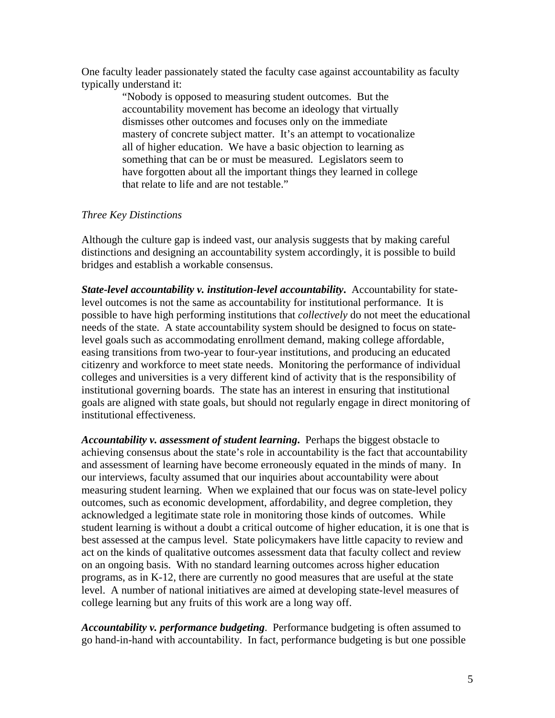One faculty leader passionately stated the faculty case against accountability as faculty typically understand it:

> "Nobody is opposed to measuring student outcomes. But the accountability movement has become an ideology that virtually dismisses other outcomes and focuses only on the immediate mastery of concrete subject matter. It's an attempt to vocationalize all of higher education. We have a basic objection to learning as something that can be or must be measured. Legislators seem to have forgotten about all the important things they learned in college that relate to life and are not testable."

#### *Three Key Distinctions*

Although the culture gap is indeed vast, our analysis suggests that by making careful distinctions and designing an accountability system accordingly, it is possible to build bridges and establish a workable consensus.

*State-level accountability v. institution-level accountability***.** Accountability for statelevel outcomes is not the same as accountability for institutional performance. It is possible to have high performing institutions that *collectively* do not meet the educational needs of the state. A state accountability system should be designed to focus on statelevel goals such as accommodating enrollment demand, making college affordable, easing transitions from two-year to four-year institutions, and producing an educated citizenry and workforce to meet state needs. Monitoring the performance of individual colleges and universities is a very different kind of activity that is the responsibility of institutional governing boards. The state has an interest in ensuring that institutional goals are aligned with state goals, but should not regularly engage in direct monitoring of institutional effectiveness.

*Accountability v. assessment of student learning***.** Perhaps the biggest obstacle to achieving consensus about the state's role in accountability is the fact that accountability and assessment of learning have become erroneously equated in the minds of many. In our interviews, faculty assumed that our inquiries about accountability were about measuring student learning. When we explained that our focus was on state-level policy outcomes, such as economic development, affordability, and degree completion, they acknowledged a legitimate state role in monitoring those kinds of outcomes. While student learning is without a doubt a critical outcome of higher education, it is one that is best assessed at the campus level. State policymakers have little capacity to review and act on the kinds of qualitative outcomes assessment data that faculty collect and review on an ongoing basis. With no standard learning outcomes across higher education programs, as in K-12, there are currently no good measures that are useful at the state level. A number of national initiatives are aimed at developing state-level measures of college learning but any fruits of this work are a long way off.

*Accountability v. performance budgeting*. Performance budgeting is often assumed to go hand-in-hand with accountability. In fact, performance budgeting is but one possible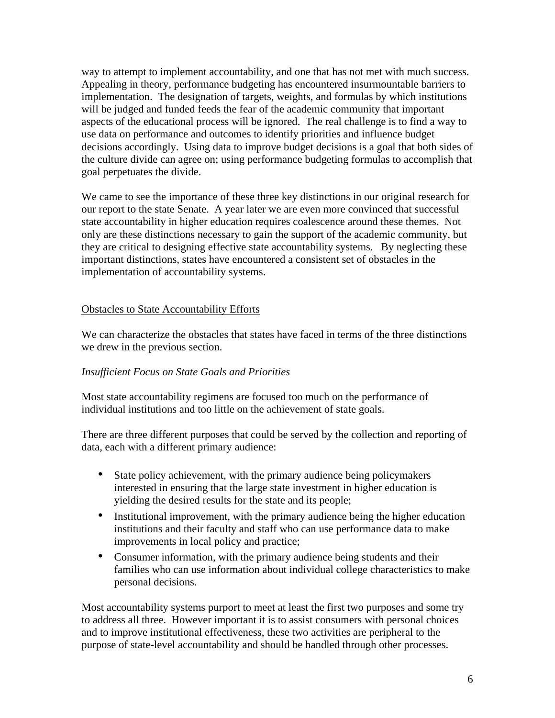way to attempt to implement accountability, and one that has not met with much success. Appealing in theory, performance budgeting has encountered insurmountable barriers to implementation. The designation of targets, weights, and formulas by which institutions will be judged and funded feeds the fear of the academic community that important aspects of the educational process will be ignored. The real challenge is to find a way to use data on performance and outcomes to identify priorities and influence budget decisions accordingly. Using data to improve budget decisions is a goal that both sides of the culture divide can agree on; using performance budgeting formulas to accomplish that goal perpetuates the divide.

We came to see the importance of these three key distinctions in our original research for our report to the state Senate. A year later we are even more convinced that successful state accountability in higher education requires coalescence around these themes. Not only are these distinctions necessary to gain the support of the academic community, but they are critical to designing effective state accountability systems. By neglecting these important distinctions, states have encountered a consistent set of obstacles in the implementation of accountability systems.

# Obstacles to State Accountability Efforts

We can characterize the obstacles that states have faced in terms of the three distinctions we drew in the previous section.

# *Insufficient Focus on State Goals and Priorities*

Most state accountability regimens are focused too much on the performance of individual institutions and too little on the achievement of state goals.

There are three different purposes that could be served by the collection and reporting of data, each with a different primary audience:

- State policy achievement, with the primary audience being policymakers interested in ensuring that the large state investment in higher education is yielding the desired results for the state and its people;
- Institutional improvement, with the primary audience being the higher education institutions and their faculty and staff who can use performance data to make improvements in local policy and practice;
- Consumer information, with the primary audience being students and their families who can use information about individual college characteristics to make personal decisions.

Most accountability systems purport to meet at least the first two purposes and some try to address all three. However important it is to assist consumers with personal choices and to improve institutional effectiveness, these two activities are peripheral to the purpose of state-level accountability and should be handled through other processes.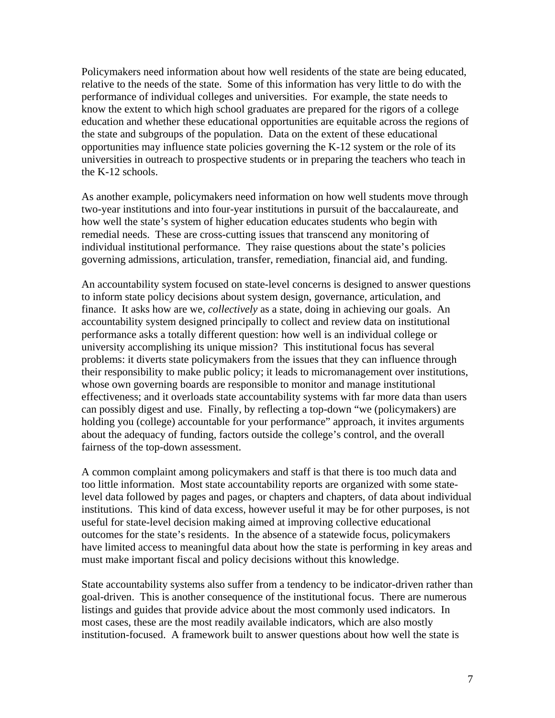Policymakers need information about how well residents of the state are being educated, relative to the needs of the state. Some of this information has very little to do with the performance of individual colleges and universities. For example, the state needs to know the extent to which high school graduates are prepared for the rigors of a college education and whether these educational opportunities are equitable across the regions of the state and subgroups of the population. Data on the extent of these educational opportunities may influence state policies governing the K-12 system or the role of its universities in outreach to prospective students or in preparing the teachers who teach in the K-12 schools.

As another example, policymakers need information on how well students move through two-year institutions and into four-year institutions in pursuit of the baccalaureate, and how well the state's system of higher education educates students who begin with remedial needs. These are cross-cutting issues that transcend any monitoring of individual institutional performance. They raise questions about the state's policies governing admissions, articulation, transfer, remediation, financial aid, and funding.

An accountability system focused on state-level concerns is designed to answer questions to inform state policy decisions about system design, governance, articulation, and finance. It asks how are we, *collectively* as a state, doing in achieving our goals. An accountability system designed principally to collect and review data on institutional performance asks a totally different question: how well is an individual college or university accomplishing its unique mission? This institutional focus has several problems: it diverts state policymakers from the issues that they can influence through their responsibility to make public policy; it leads to micromanagement over institutions, whose own governing boards are responsible to monitor and manage institutional effectiveness; and it overloads state accountability systems with far more data than users can possibly digest and use. Finally, by reflecting a top-down "we (policymakers) are holding you (college) accountable for your performance" approach, it invites arguments about the adequacy of funding, factors outside the college's control, and the overall fairness of the top-down assessment.

A common complaint among policymakers and staff is that there is too much data and too little information. Most state accountability reports are organized with some statelevel data followed by pages and pages, or chapters and chapters, of data about individual institutions. This kind of data excess, however useful it may be for other purposes, is not useful for state-level decision making aimed at improving collective educational outcomes for the state's residents. In the absence of a statewide focus, policymakers have limited access to meaningful data about how the state is performing in key areas and must make important fiscal and policy decisions without this knowledge.

State accountability systems also suffer from a tendency to be indicator-driven rather than goal-driven. This is another consequence of the institutional focus. There are numerous listings and guides that provide advice about the most commonly used indicators. In most cases, these are the most readily available indicators, which are also mostly institution-focused. A framework built to answer questions about how well the state is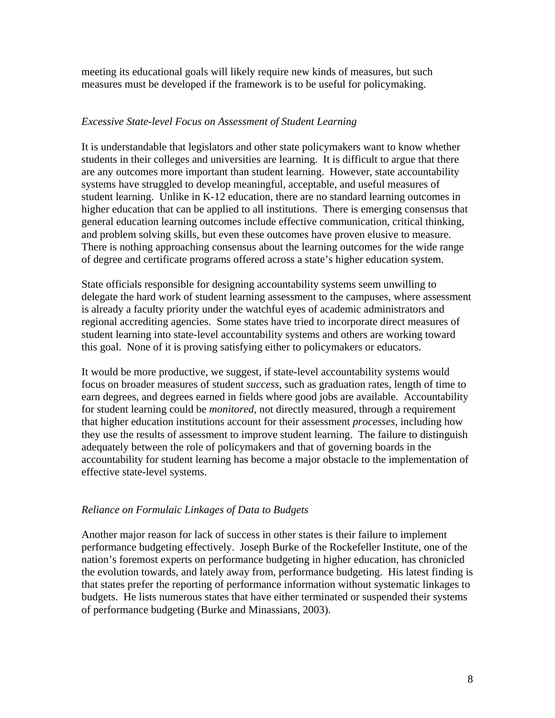meeting its educational goals will likely require new kinds of measures, but such measures must be developed if the framework is to be useful for policymaking.

## *Excessive State-level Focus on Assessment of Student Learning*

It is understandable that legislators and other state policymakers want to know whether students in their colleges and universities are learning. It is difficult to argue that there are any outcomes more important than student learning. However, state accountability systems have struggled to develop meaningful, acceptable, and useful measures of student learning. Unlike in K-12 education, there are no standard learning outcomes in higher education that can be applied to all institutions. There is emerging consensus that general education learning outcomes include effective communication, critical thinking, and problem solving skills, but even these outcomes have proven elusive to measure. There is nothing approaching consensus about the learning outcomes for the wide range of degree and certificate programs offered across a state's higher education system.

State officials responsible for designing accountability systems seem unwilling to delegate the hard work of student learning assessment to the campuses, where assessment is already a faculty priority under the watchful eyes of academic administrators and regional accrediting agencies. Some states have tried to incorporate direct measures of student learning into state-level accountability systems and others are working toward this goal. None of it is proving satisfying either to policymakers or educators.

It would be more productive, we suggest, if state-level accountability systems would focus on broader measures of student *success*, such as graduation rates, length of time to earn degrees, and degrees earned in fields where good jobs are available. Accountability for student learning could be *monitored*, not directly measured, through a requirement that higher education institutions account for their assessment *processes*, including how they use the results of assessment to improve student learning. The failure to distinguish adequately between the role of policymakers and that of governing boards in the accountability for student learning has become a major obstacle to the implementation of effective state-level systems.

## *Reliance on Formulaic Linkages of Data to Budgets*

Another major reason for lack of success in other states is their failure to implement performance budgeting effectively. Joseph Burke of the Rockefeller Institute, one of the nation's foremost experts on performance budgeting in higher education, has chronicled the evolution towards, and lately away from, performance budgeting. His latest finding is that states prefer the reporting of performance information without systematic linkages to budgets. He lists numerous states that have either terminated or suspended their systems of performance budgeting (Burke and Minassians, 2003).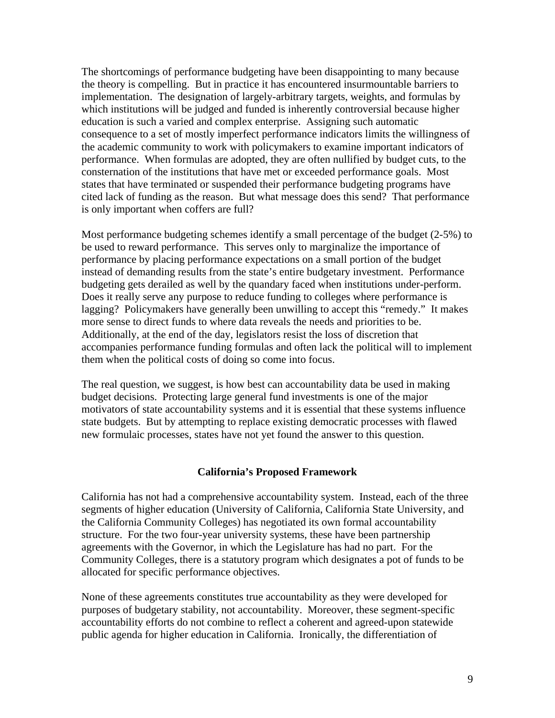The shortcomings of performance budgeting have been disappointing to many because the theory is compelling. But in practice it has encountered insurmountable barriers to implementation. The designation of largely-arbitrary targets, weights, and formulas by which institutions will be judged and funded is inherently controversial because higher education is such a varied and complex enterprise. Assigning such automatic consequence to a set of mostly imperfect performance indicators limits the willingness of the academic community to work with policymakers to examine important indicators of performance. When formulas are adopted, they are often nullified by budget cuts, to the consternation of the institutions that have met or exceeded performance goals. Most states that have terminated or suspended their performance budgeting programs have cited lack of funding as the reason. But what message does this send? That performance is only important when coffers are full?

Most performance budgeting schemes identify a small percentage of the budget (2-5%) to be used to reward performance. This serves only to marginalize the importance of performance by placing performance expectations on a small portion of the budget instead of demanding results from the state's entire budgetary investment. Performance budgeting gets derailed as well by the quandary faced when institutions under-perform. Does it really serve any purpose to reduce funding to colleges where performance is lagging? Policymakers have generally been unwilling to accept this "remedy." It makes more sense to direct funds to where data reveals the needs and priorities to be. Additionally, at the end of the day, legislators resist the loss of discretion that accompanies performance funding formulas and often lack the political will to implement them when the political costs of doing so come into focus.

The real question, we suggest, is how best can accountability data be used in making budget decisions. Protecting large general fund investments is one of the major motivators of state accountability systems and it is essential that these systems influence state budgets. But by attempting to replace existing democratic processes with flawed new formulaic processes, states have not yet found the answer to this question.

## **California's Proposed Framework**

California has not had a comprehensive accountability system. Instead, each of the three segments of higher education (University of California, California State University, and the California Community Colleges) has negotiated its own formal accountability structure. For the two four-year university systems, these have been partnership agreements with the Governor, in which the Legislature has had no part. For the Community Colleges, there is a statutory program which designates a pot of funds to be allocated for specific performance objectives.

None of these agreements constitutes true accountability as they were developed for purposes of budgetary stability, not accountability. Moreover, these segment-specific accountability efforts do not combine to reflect a coherent and agreed-upon statewide public agenda for higher education in California. Ironically, the differentiation of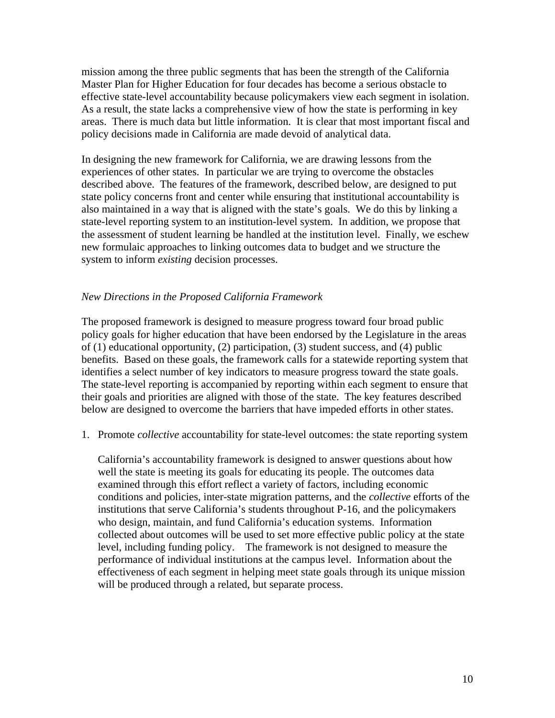mission among the three public segments that has been the strength of the California Master Plan for Higher Education for four decades has become a serious obstacle to effective state-level accountability because policymakers view each segment in isolation. As a result, the state lacks a comprehensive view of how the state is performing in key areas. There is much data but little information. It is clear that most important fiscal and policy decisions made in California are made devoid of analytical data.

In designing the new framework for California, we are drawing lessons from the experiences of other states. In particular we are trying to overcome the obstacles described above. The features of the framework, described below, are designed to put state policy concerns front and center while ensuring that institutional accountability is also maintained in a way that is aligned with the state's goals. We do this by linking a state-level reporting system to an institution-level system. In addition, we propose that the assessment of student learning be handled at the institution level. Finally, we eschew new formulaic approaches to linking outcomes data to budget and we structure the system to inform *existing* decision processes.

## *New Directions in the Proposed California Framework*

The proposed framework is designed to measure progress toward four broad public policy goals for higher education that have been endorsed by the Legislature in the areas of (1) educational opportunity, (2) participation, (3) student success, and (4) public benefits. Based on these goals, the framework calls for a statewide reporting system that identifies a select number of key indicators to measure progress toward the state goals. The state-level reporting is accompanied by reporting within each segment to ensure that their goals and priorities are aligned with those of the state. The key features described below are designed to overcome the barriers that have impeded efforts in other states.

1. Promote *collective* accountability for state-level outcomes: the state reporting system

California's accountability framework is designed to answer questions about how well the state is meeting its goals for educating its people. The outcomes data examined through this effort reflect a variety of factors, including economic conditions and policies, inter-state migration patterns, and the *collective* efforts of the institutions that serve California's students throughout P-16, and the policymakers who design, maintain, and fund California's education systems. Information collected about outcomes will be used to set more effective public policy at the state level, including funding policy. The framework is not designed to measure the performance of individual institutions at the campus level. Information about the effectiveness of each segment in helping meet state goals through its unique mission will be produced through a related, but separate process.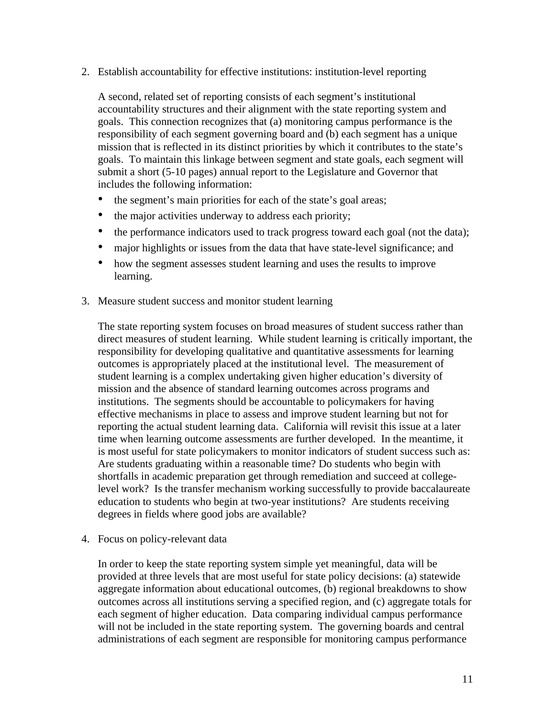2. Establish accountability for effective institutions: institution-level reporting

A second, related set of reporting consists of each segment's institutional accountability structures and their alignment with the state reporting system and goals. This connection recognizes that (a) monitoring campus performance is the responsibility of each segment governing board and (b) each segment has a unique mission that is reflected in its distinct priorities by which it contributes to the state's goals. To maintain this linkage between segment and state goals, each segment will submit a short (5-10 pages) annual report to the Legislature and Governor that includes the following information:

- the segment's main priorities for each of the state's goal areas;
- the major activities underway to address each priority;
- the performance indicators used to track progress toward each goal (not the data);
- major highlights or issues from the data that have state-level significance; and
- how the segment assesses student learning and uses the results to improve learning.
- 3. Measure student success and monitor student learning

The state reporting system focuses on broad measures of student success rather than direct measures of student learning. While student learning is critically important, the responsibility for developing qualitative and quantitative assessments for learning outcomes is appropriately placed at the institutional level. The measurement of student learning is a complex undertaking given higher education's diversity of mission and the absence of standard learning outcomes across programs and institutions. The segments should be accountable to policymakers for having effective mechanisms in place to assess and improve student learning but not for reporting the actual student learning data. California will revisit this issue at a later time when learning outcome assessments are further developed. In the meantime, it is most useful for state policymakers to monitor indicators of student success such as: Are students graduating within a reasonable time? Do students who begin with shortfalls in academic preparation get through remediation and succeed at collegelevel work? Is the transfer mechanism working successfully to provide baccalaureate education to students who begin at two-year institutions? Are students receiving degrees in fields where good jobs are available?

4. Focus on policy-relevant data

In order to keep the state reporting system simple yet meaningful, data will be provided at three levels that are most useful for state policy decisions: (a) statewide aggregate information about educational outcomes, (b) regional breakdowns to show outcomes across all institutions serving a specified region, and (c) aggregate totals for each segment of higher education. Data comparing individual campus performance will not be included in the state reporting system. The governing boards and central administrations of each segment are responsible for monitoring campus performance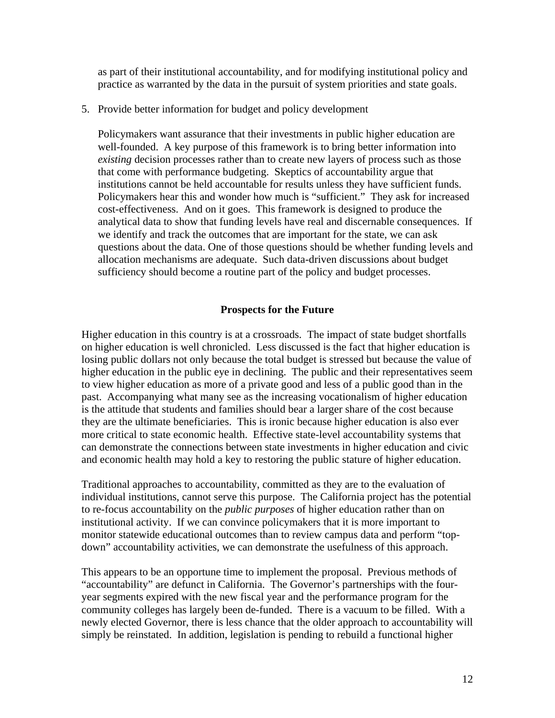as part of their institutional accountability, and for modifying institutional policy and practice as warranted by the data in the pursuit of system priorities and state goals.

5. Provide better information for budget and policy development

Policymakers want assurance that their investments in public higher education are well-founded. A key purpose of this framework is to bring better information into *existing* decision processes rather than to create new layers of process such as those that come with performance budgeting. Skeptics of accountability argue that institutions cannot be held accountable for results unless they have sufficient funds. Policymakers hear this and wonder how much is "sufficient." They ask for increased cost-effectiveness. And on it goes. This framework is designed to produce the analytical data to show that funding levels have real and discernable consequences. If we identify and track the outcomes that are important for the state, we can ask questions about the data. One of those questions should be whether funding levels and allocation mechanisms are adequate. Such data-driven discussions about budget sufficiency should become a routine part of the policy and budget processes.

## **Prospects for the Future**

Higher education in this country is at a crossroads. The impact of state budget shortfalls on higher education is well chronicled. Less discussed is the fact that higher education is losing public dollars not only because the total budget is stressed but because the value of higher education in the public eye in declining. The public and their representatives seem to view higher education as more of a private good and less of a public good than in the past. Accompanying what many see as the increasing vocationalism of higher education is the attitude that students and families should bear a larger share of the cost because they are the ultimate beneficiaries. This is ironic because higher education is also ever more critical to state economic health. Effective state-level accountability systems that can demonstrate the connections between state investments in higher education and civic and economic health may hold a key to restoring the public stature of higher education.

Traditional approaches to accountability, committed as they are to the evaluation of individual institutions, cannot serve this purpose. The California project has the potential to re-focus accountability on the *public purposes* of higher education rather than on institutional activity. If we can convince policymakers that it is more important to monitor statewide educational outcomes than to review campus data and perform "topdown" accountability activities, we can demonstrate the usefulness of this approach.

This appears to be an opportune time to implement the proposal. Previous methods of "accountability" are defunct in California. The Governor's partnerships with the fouryear segments expired with the new fiscal year and the performance program for the community colleges has largely been de-funded. There is a vacuum to be filled. With a newly elected Governor, there is less chance that the older approach to accountability will simply be reinstated. In addition, legislation is pending to rebuild a functional higher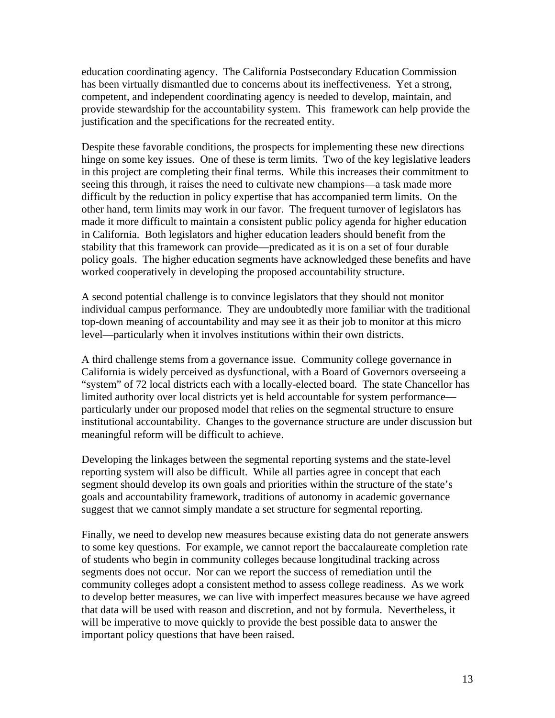education coordinating agency. The California Postsecondary Education Commission has been virtually dismantled due to concerns about its ineffectiveness. Yet a strong, competent, and independent coordinating agency is needed to develop, maintain, and provide stewardship for the accountability system. This framework can help provide the justification and the specifications for the recreated entity.

Despite these favorable conditions, the prospects for implementing these new directions hinge on some key issues. One of these is term limits. Two of the key legislative leaders in this project are completing their final terms. While this increases their commitment to seeing this through, it raises the need to cultivate new champions—a task made more difficult by the reduction in policy expertise that has accompanied term limits. On the other hand, term limits may work in our favor. The frequent turnover of legislators has made it more difficult to maintain a consistent public policy agenda for higher education in California. Both legislators and higher education leaders should benefit from the stability that this framework can provide—predicated as it is on a set of four durable policy goals. The higher education segments have acknowledged these benefits and have worked cooperatively in developing the proposed accountability structure.

A second potential challenge is to convince legislators that they should not monitor individual campus performance. They are undoubtedly more familiar with the traditional top-down meaning of accountability and may see it as their job to monitor at this micro level—particularly when it involves institutions within their own districts.

A third challenge stems from a governance issue. Community college governance in California is widely perceived as dysfunctional, with a Board of Governors overseeing a "system" of 72 local districts each with a locally-elected board. The state Chancellor has limited authority over local districts yet is held accountable for system performance particularly under our proposed model that relies on the segmental structure to ensure institutional accountability. Changes to the governance structure are under discussion but meaningful reform will be difficult to achieve.

Developing the linkages between the segmental reporting systems and the state-level reporting system will also be difficult. While all parties agree in concept that each segment should develop its own goals and priorities within the structure of the state's goals and accountability framework, traditions of autonomy in academic governance suggest that we cannot simply mandate a set structure for segmental reporting.

Finally, we need to develop new measures because existing data do not generate answers to some key questions. For example, we cannot report the baccalaureate completion rate of students who begin in community colleges because longitudinal tracking across segments does not occur. Nor can we report the success of remediation until the community colleges adopt a consistent method to assess college readiness. As we work to develop better measures, we can live with imperfect measures because we have agreed that data will be used with reason and discretion, and not by formula. Nevertheless, it will be imperative to move quickly to provide the best possible data to answer the important policy questions that have been raised.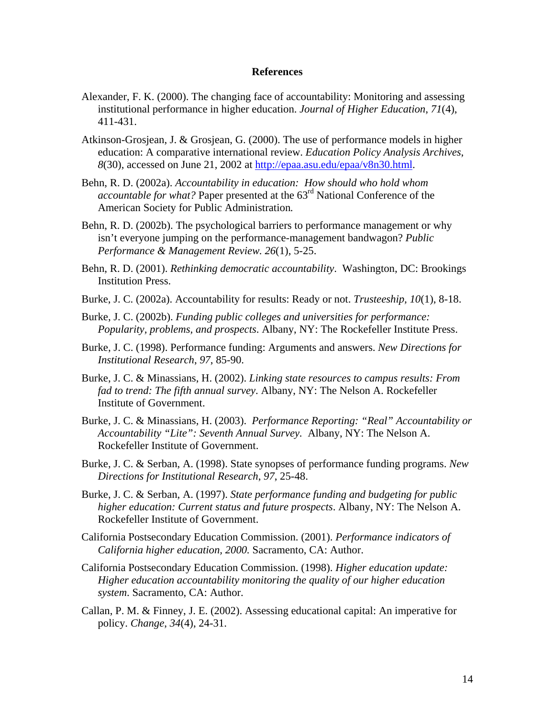#### **References**

- Alexander, F. K. (2000). The changing face of accountability: Monitoring and assessing institutional performance in higher education. *Journal of Higher Education*, *71*(4), 411-431.
- Atkinson-Grosjean, J. & Grosjean, G. (2000). The use of performance models in higher education: A comparative international review. *Education Policy Analysis Archives*, *8*(30), accessed on June 21, 2002 at http://epaa.asu.edu/epaa/v8n30.html.
- Behn, R. D. (2002a). *Accountability in education: How should who hold whom accountable for what?* Paper presented at the 63rd National Conference of the American Society for Public Administration*.*
- Behn, R. D. (2002b). The psychological barriers to performance management or why isn't everyone jumping on the performance-management bandwagon? *Public Performance & Management Review. 26*(1), 5-25.
- Behn, R. D. (2001). *Rethinking democratic accountability*. Washington, DC: Brookings Institution Press.
- Burke, J. C. (2002a). Accountability for results: Ready or not. *Trusteeship, 10*(1), 8-18.
- Burke, J. C. (2002b). *Funding public colleges and universities for performance: Popularity, problems, and prospects*. Albany, NY: The Rockefeller Institute Press.
- Burke, J. C. (1998). Performance funding: Arguments and answers. *New Directions for Institutional Research*, *97*, 85-90.
- Burke, J. C. & Minassians, H. (2002). *Linking state resources to campus results: From fad to trend: The fifth annual survey*. Albany, NY: The Nelson A. Rockefeller Institute of Government.
- Burke, J. C. & Minassians, H. (2003). *Performance Reporting: "Real" Accountability or Accountability "Lite": Seventh Annual Survey.* Albany, NY: The Nelson A. Rockefeller Institute of Government.
- Burke, J. C. & Serban, A. (1998). State synopses of performance funding programs. *New Directions for Institutional Research*, *97*, 25-48.
- Burke, J. C. & Serban, A. (1997). *State performance funding and budgeting for public higher education: Current status and future prospects*. Albany, NY: The Nelson A. Rockefeller Institute of Government.
- California Postsecondary Education Commission. (2001). *Performance indicators of California higher education, 2000.* Sacramento, CA: Author.
- California Postsecondary Education Commission. (1998). *Higher education update: Higher education accountability monitoring the quality of our higher education system*. Sacramento, CA: Author.
- Callan, P. M. & Finney, J. E. (2002). Assessing educational capital: An imperative for policy. *Change*, *34*(4), 24-31.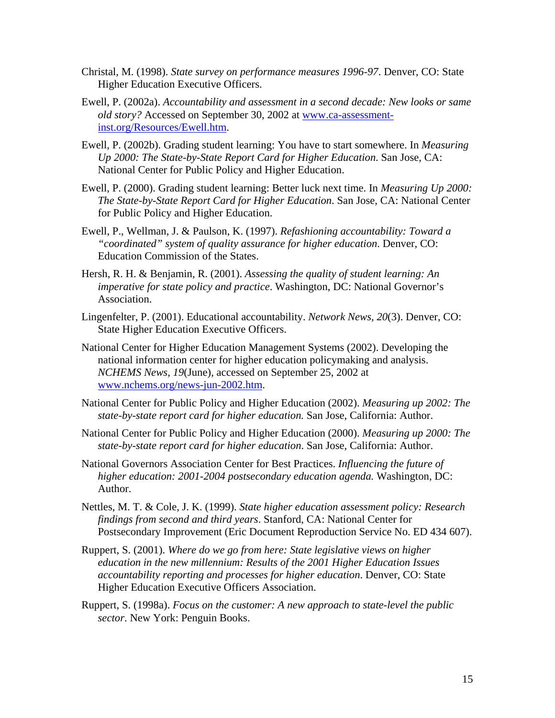- Christal, M. (1998). *State survey on performance measures 1996-97*. Denver, CO: State Higher Education Executive Officers.
- Ewell, P. (2002a). *Accountability and assessment in a second decade: New looks or same old story?* Accessed on September 30, 2002 at www.ca-assessmentinst.org/Resources/Ewell.htm.
- Ewell, P. (2002b). Grading student learning: You have to start somewhere. In *Measuring Up 2000: The State-by-State Report Card for Higher Education*. San Jose, CA: National Center for Public Policy and Higher Education.
- Ewell, P. (2000). Grading student learning: Better luck next time. In *Measuring Up 2000: The State-by-State Report Card for Higher Education*. San Jose, CA: National Center for Public Policy and Higher Education.
- Ewell, P., Wellman, J. & Paulson, K. (1997). *Refashioning accountability: Toward a "coordinated" system of quality assurance for higher education*. Denver, CO: Education Commission of the States.
- Hersh, R. H. & Benjamin, R. (2001). *Assessing the quality of student learning: An imperative for state policy and practice*. Washington, DC: National Governor's Association.
- Lingenfelter, P. (2001). Educational accountability. *Network News, 20*(3). Denver, CO: State Higher Education Executive Officers.
- National Center for Higher Education Management Systems (2002). Developing the national information center for higher education policymaking and analysis. *NCHEMS News*, *19*(June), accessed on September 25, 2002 at www.nchems.org/news-jun-2002.htm.
- National Center for Public Policy and Higher Education (2002). *Measuring up 2002: The state-by-state report card for higher education.* San Jose, California: Author.
- National Center for Public Policy and Higher Education (2000). *Measuring up 2000: The state-by-state report card for higher education*. San Jose, California: Author.
- National Governors Association Center for Best Practices. *Influencing the future of higher education: 2001-2004 postsecondary education agenda.* Washington, DC: Author.
- Nettles, M. T. & Cole, J. K. (1999). *State higher education assessment policy: Research findings from second and third years*. Stanford, CA: National Center for Postsecondary Improvement (Eric Document Reproduction Service No. ED 434 607).
- Ruppert, S. (2001). *Where do we go from here: State legislative views on higher education in the new millennium: Results of the 2001 Higher Education Issues accountability reporting and processes for higher education*. Denver, CO: State Higher Education Executive Officers Association.
- Ruppert, S. (1998a). *Focus on the customer: A new approach to state-level the public sector*. New York: Penguin Books.